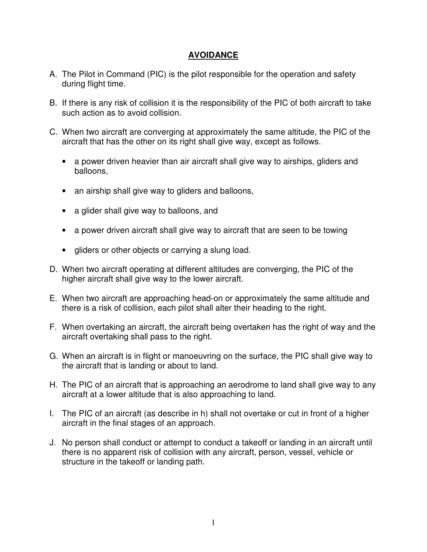## **AVOIDANCE**

- A. The Pilot in Command (PIC) is the pilot responsible for the operation and safety during flight time.
- B. If there is any risk of collision it is the responsibility of the PIC of both aircraft to take such action as to avoid collision.
- C. When two aircraft are converging at approximately the same altitude, the PIC of the aircraft that has the other on its right shall give way, except as follows.
	- a power driven heavier than air aircraft shall give way to airships, gliders and balloons,
	- an airship shall give way to gliders and balloons,
	- a glider shall give way to balloons, and
	- a power driven aircraft shall give way to aircraft that are seen to be towing
	- gliders or other objects or carrying a slung load.
- D. When two aircraft operating at different altitudes are converging, the PIC of the higher aircraft shall give way to the lower aircraft.
- E. When two aircraft are approaching head-on or approximately the same altitude and there is a risk of collision, each pilot shall alter their heading to the right.
- F. When overtaking an aircraft, the aircraft being overtaken has the right of way and the aircraft overtaking shall pass to the right.
- G. When an aircraft is in flight or manoeuvring on the surface, the PIC shall give way to the aircraft that is landing or about to land.
- H. The PIC of an aircraft that is approaching an aerodrome to land shall give way to any aircraft at a lower altitude that is also approaching to land.
- I. The PIC of an aircraft (as describe in h) shall not overtake or cut in front of a higher aircraft in the final stages of an approach.
- J. No person shall conduct or attempt to conduct a takeoff or landing in an aircraft until there is no apparent risk of collision with any aircraft, person, vessel, vehicle or structure in the takeoff or landing path.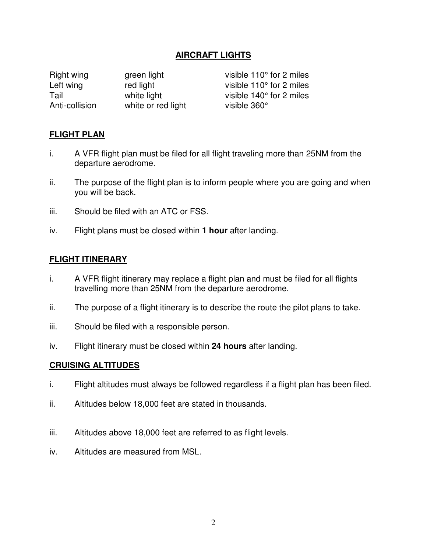### **AIRCRAFT LIGHTS**

Right wing green light visible 110° for 2 miles Left wing red light visible 110° for 2 miles Tail **Tail** white light visible 140° for 2 miles Anti-collision white or red light visible 360°

### **FLIGHT PLAN**

- i. A VFR flight plan must be filed for all flight traveling more than 25NM from the departure aerodrome.
- ii. The purpose of the flight plan is to inform people where you are going and when you will be back.
- iii. Should be filed with an ATC or FSS.
- iv. Flight plans must be closed within **1 hour** after landing.

#### **FLIGHT ITINERARY**

- i. A VFR flight itinerary may replace a flight plan and must be filed for all flights travelling more than 25NM from the departure aerodrome.
- ii. The purpose of a flight itinerary is to describe the route the pilot plans to take.
- iii. Should be filed with a responsible person.
- iv. Flight itinerary must be closed within **24 hours** after landing.

#### **CRUISING ALTITUDES**

- i. Flight altitudes must always be followed regardless if a flight plan has been filed.
- ii. Altitudes below 18,000 feet are stated in thousands.
- iii. Altitudes above 18,000 feet are referred to as flight levels.
- iv. Altitudes are measured from MSL.